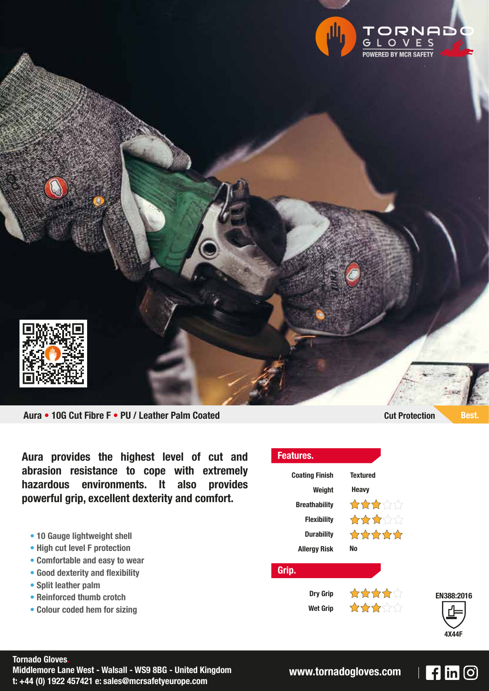

**Aura • 10G Cut Fibre F • PU / Leather Palm Coated Cut Protection Best.**

**Aura provides the highest level of cut and abrasion resistance to cope with extremely hazardous environments. It also provides powerful grip, excellent dexterity and comfort.**

- **10 Gauge lightweight shell**
- **High cut level F protection**
- **Comfortable and easy to wear**
- **• Good dexterity and flexibility**
- **Split leather palm**
- **Reinforced thumb crotch**
- **Colour coded hem for sizing**

**Features. Coating Finish Textured Weight Heavy**\*\*\*\*\* **Breathability** 公众女公公 **Flexibility** \*\*\*\*\* **Durability No Allergy Risk Grip.** ☆☆☆☆ **Dry Grip**  $\frac{1}{2} \sum_{i=1}^{n} \sum_{j=1}^{n} \sum_{j=1}^{n} \sum_{j=1}^{n} \sum_{j=1}^{n} \sum_{j=1}^{n} \sum_{j=1}^{n} \sum_{j=1}^{n} \sum_{j=1}^{n} \sum_{j=1}^{n} \sum_{j=1}^{n} \sum_{j=1}^{n} \sum_{j=1}^{n} \sum_{j=1}^{n} \sum_{j=1}^{n} \sum_{j=1}^{n} \sum_{j=1}^{n} \sum_{j=1}^{n} \sum_{j=1}^{n} \sum_{j=1}^{n} \sum_{j=1}^{n} \sum_{$ **Wet Grip**

## **EN388:2016 4X44F**

 $\mathsf{F}$  in  $\odot$